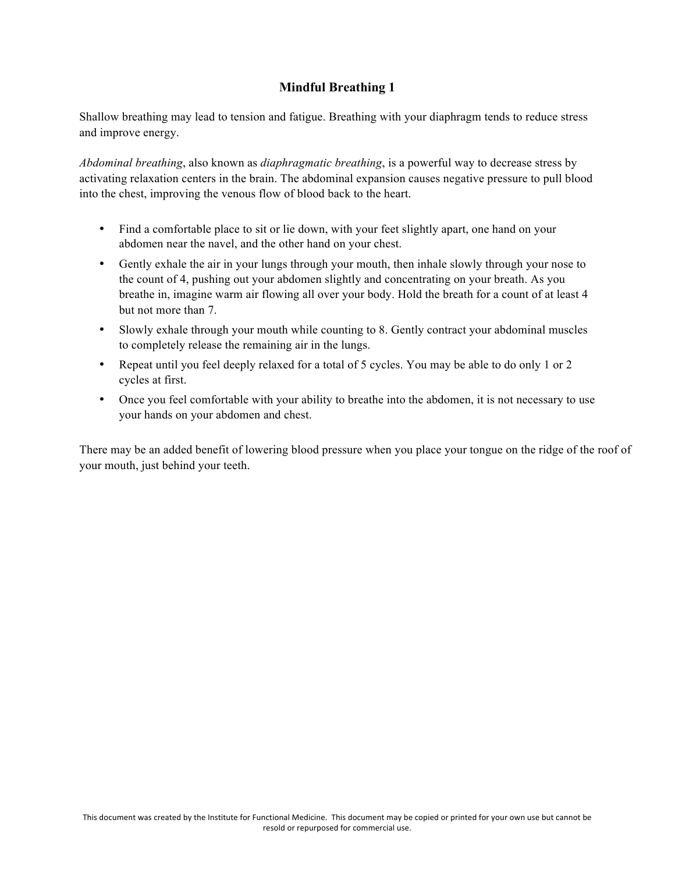## **Mindful Breathing 1**

Shallow breathing may lead to tension and fatigue. Breathing with your diaphragm tends to reduce stress and improve energy.

*Abdominal breathing*, also known as *diaphragmatic breathing*, is a powerful way to decrease stress by activating relaxation centers in the brain. The abdominal expansion causes negative pressure to pull blood into the chest, improving the venous flow of blood back to the heart.

- Find a comfortable place to sit or lie down, with your feet slightly apart, one hand on your abdomen near the navel, and the other hand on your chest.
- Gently exhale the air in your lungs through your mouth, then inhale slowly through your nose to the count of 4, pushing out your abdomen slightly and concentrating on your breath. As you breathe in, imagine warm air flowing all over your body. Hold the breath for a count of at least 4 but not more than 7.
- Slowly exhale through your mouth while counting to 8. Gently contract your abdominal muscles to completely release the remaining air in the lungs.
- Repeat until you feel deeply relaxed for a total of 5 cycles. You may be able to do only 1 or 2 cycles at first.
- Once you feel comfortable with your ability to breathe into the abdomen, it is not necessary to use your hands on your abdomen and chest.

There may be an added benefit of lowering blood pressure when you place your tongue on the ridge of the roof of your mouth, just behind your teeth.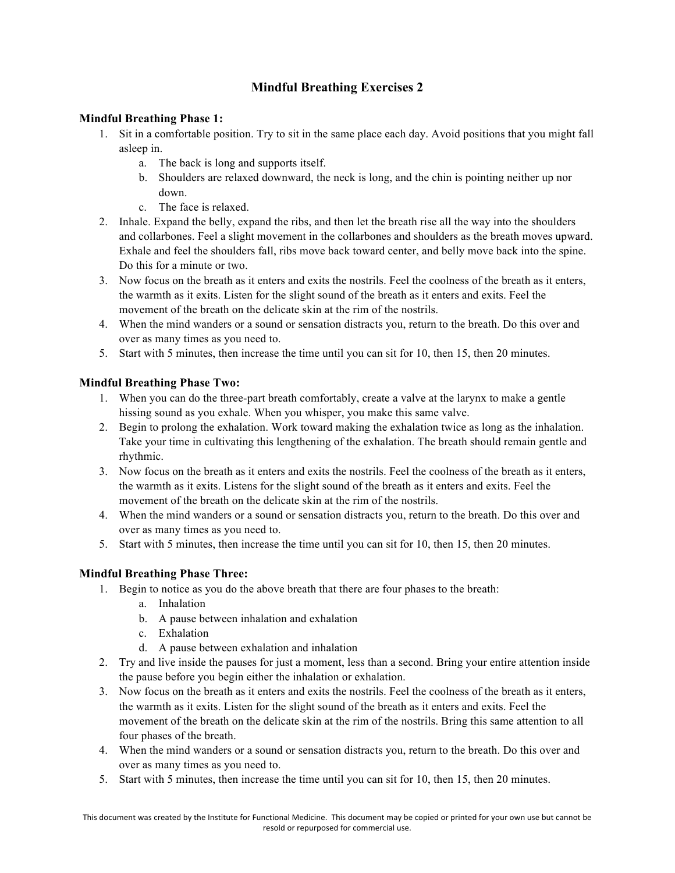# **Mindful Breathing Exercises 2**

### **Mindful Breathing Phase 1:**

- 1. Sit in a comfortable position. Try to sit in the same place each day. Avoid positions that you might fall asleep in.
	- a. The back is long and supports itself.
	- b. Shoulders are relaxed downward, the neck is long, and the chin is pointing neither up nor down.
	- c. The face is relaxed.
- 2. Inhale. Expand the belly, expand the ribs, and then let the breath rise all the way into the shoulders and collarbones. Feel a slight movement in the collarbones and shoulders as the breath moves upward. Exhale and feel the shoulders fall, ribs move back toward center, and belly move back into the spine. Do this for a minute or two.
- 3. Now focus on the breath as it enters and exits the nostrils. Feel the coolness of the breath as it enters, the warmth as it exits. Listen for the slight sound of the breath as it enters and exits. Feel the movement of the breath on the delicate skin at the rim of the nostrils.
- 4. When the mind wanders or a sound or sensation distracts you, return to the breath. Do this over and over as many times as you need to.
- 5. Start with 5 minutes, then increase the time until you can sit for 10, then 15, then 20 minutes.

### **Mindful Breathing Phase Two:**

- 1. When you can do the three-part breath comfortably, create a valve at the larynx to make a gentle hissing sound as you exhale. When you whisper, you make this same valve.
- 2. Begin to prolong the exhalation. Work toward making the exhalation twice as long as the inhalation. Take your time in cultivating this lengthening of the exhalation. The breath should remain gentle and rhythmic.
- 3. Now focus on the breath as it enters and exits the nostrils. Feel the coolness of the breath as it enters, the warmth as it exits. Listens for the slight sound of the breath as it enters and exits. Feel the movement of the breath on the delicate skin at the rim of the nostrils.
- 4. When the mind wanders or a sound or sensation distracts you, return to the breath. Do this over and over as many times as you need to.
- 5. Start with 5 minutes, then increase the time until you can sit for 10, then 15, then 20 minutes.

### **Mindful Breathing Phase Three:**

- 1. Begin to notice as you do the above breath that there are four phases to the breath:
	- a. Inhalation
	- b. A pause between inhalation and exhalation
	- c. Exhalation
	- d. A pause between exhalation and inhalation
- 2. Try and live inside the pauses for just a moment, less than a second. Bring your entire attention inside the pause before you begin either the inhalation or exhalation.
- 3. Now focus on the breath as it enters and exits the nostrils. Feel the coolness of the breath as it enters, the warmth as it exits. Listen for the slight sound of the breath as it enters and exits. Feel the movement of the breath on the delicate skin at the rim of the nostrils. Bring this same attention to all four phases of the breath.
- 4. When the mind wanders or a sound or sensation distracts you, return to the breath. Do this over and over as many times as you need to.
- 5. Start with 5 minutes, then increase the time until you can sit for 10, then 15, then 20 minutes.